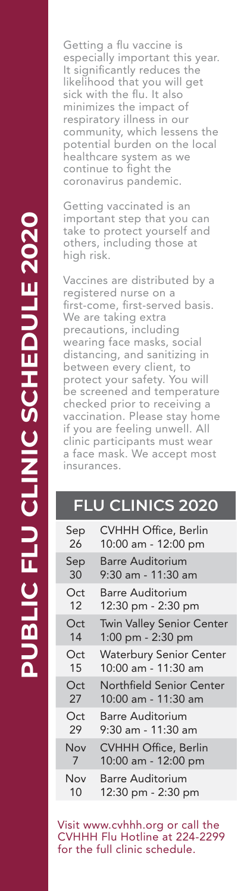Getting a flu vaccine is especially important this year. It significantly reduces the likelihood that you will get sick with the flu. It also minimizes the impact of respiratory illness in our community, which lessens the potential burden on the local healthcare system as we continue to fight the coronavirus pandemic.

Getting vaccinated is an important step that you can take to protect yourself and others, including those at high risk.

Vaccines are distributed by a registered nurse on a first-come, first-served basis. We are taking extra precautions, including wearing face masks, social distancing, and sanitizing in between every client, to protect your safety. You will be screened and temperature checked prior to receiving a vaccination. Please stay home if you are feeling unwell. All clinic participants must wear a face mask. We accept most insurances.

### **FLU CLINICS 2020**

| Sep | CVHHH Office, Berlin           |
|-----|--------------------------------|
| 26  | 10:00 am - 12:00 pm            |
| Sep | <b>Barre Auditorium</b>        |
| 30  | 9:30 am - 11:30 am             |
| Oct | <b>Barre Auditorium</b>        |
| 12  | 12:30 pm - 2:30 pm             |
| Oct | Twin Valley Senior Center      |
| 14  | 1:00 pm - 2:30 pm              |
| Oct | <b>Waterbury Senior Center</b> |
| 15  | 10:00 am - 11:30 am            |
| Oct | Northfield Senior Center       |
| 27  | 10:00 am - 11:30 am            |
| Oct | <b>Barre Auditorium</b>        |
| 29  | 9:30 am - 11:30 am             |
| Nov | <b>CVHHH Office, Berlin</b>    |
| 7   | 10:00 am - 12:00 pm            |
| Nov | Barre Auditorium               |
| 10  | 12:30 pm - 2:30 pm             |

Visit www.cvhhh.org or call the CVHHH Flu Hotline at 224-2299 for the full clinic schedule.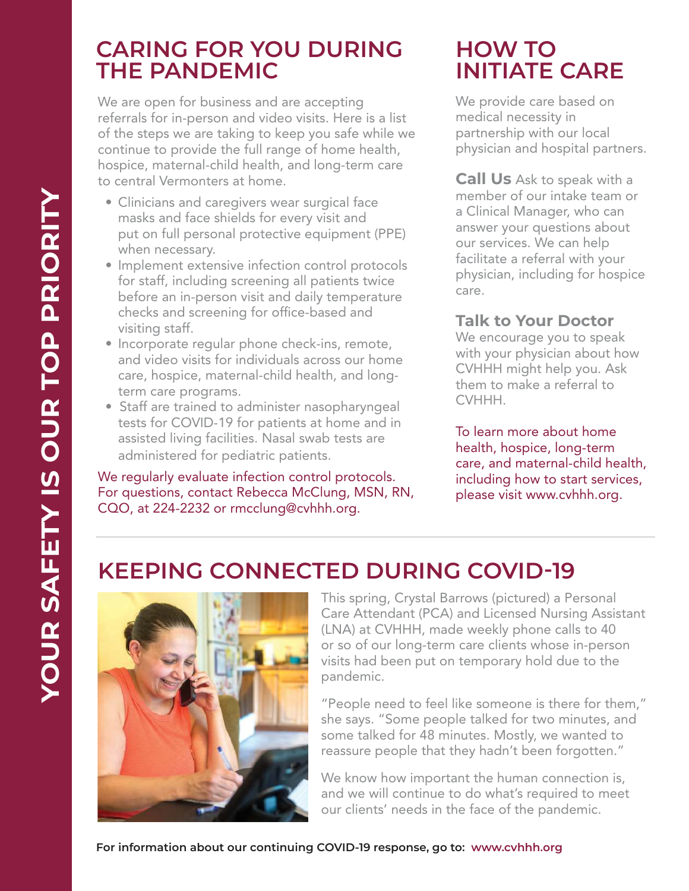## **CARING FOR YOU DURING THE PANDEMIC**

We are open for business and are accepting referrals for in-person and video visits. Here is a list of the steps we are taking to keep you safe while we continue to provide the full range of home health, hospice, maternal-child health, and long-term care to central Vermonters at home.

- Clinicians and caregivers wear surgical face masks and face shields for every visit and put on full personal protective equipment (PPE) when necessary.
- Implement extensive infection control protocols for staff, including screening all patients twice before an in-person visit and daily temperature checks and screening for office-based and visiting staff.
- Incorporate regular phone check-ins, remote, and video visits for individuals across our home care, hospice, maternal-child health, and longterm care programs.
- Staff are trained to administer nasopharyngeal tests for COVID-19 for patients at home and in assisted living facilities. Nasal swab tests are administered for pediatric patients.

We regularly evaluate infection control protocols. For questions, contact Rebecca McClung, MSN, RN, CQO, at 224-2232 or rmcclung@cvhhh.org.

# **HOW TO INITIATE CARE**

We provide care based on medical necessity in partnership with our local physician and hospital partners.

**Call Us** Ask to speak with a member of our intake team or a Clinical Manager, who can answer your questions about our services. We can help facilitate a referral with your physician, including for hospice care.

### **Talk to Your Doctor**

We encourage you to speak with your physician about how CVHHH might help you. Ask them to make a referral to CVHHH.

To learn more about home health, hospice, long-term care, and maternal-child health, including how to start services, please visit www.cvhhh.org.

# **KEEPING CONNECTED DURING COVID-19**



This spring, Crystal Barrows (pictured) a Personal Care Attendant (PCA) and Licensed Nursing Assistant (LNA) at CVHHH, made weekly phone calls to 40 or so of our long-term care clients whose in-person visits had been put on temporary hold due to the pandemic.

"People need to feel like someone is there for them," she says. "Some people talked for two minutes, and some talked for 48 minutes. Mostly, we wanted to reassure people that they hadn't been forgotten."

We know how important the human connection is, and we will continue to do what's required to meet our clients' needs in the face of the pandemic.

**For information about our continuing COVID-19 response, go to: www.cvhhh.org**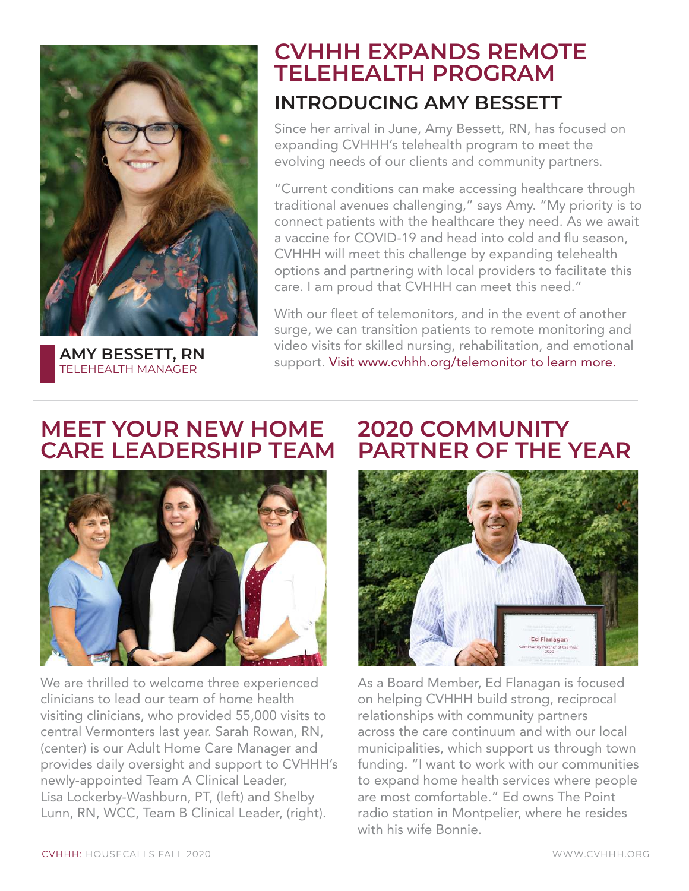

**AMY BESSETT, RN** TELEHEALTH MANAGER

## **INTRODUCING AMY BESSETT CVHHH EXPANDS REMOTE TELEHEALTH PROGRAM**

Since her arrival in June, Amy Bessett, RN, has focused on expanding CVHHH's telehealth program to meet the evolving needs of our clients and community partners.

"Current conditions can make accessing healthcare through traditional avenues challenging," says Amy. "My priority is to connect patients with the healthcare they need. As we await a vaccine for COVID-19 and head into cold and flu season, CVHHH will meet this challenge by expanding telehealth options and partnering with local providers to facilitate this care. I am proud that CVHHH can meet this need."

With our fleet of telemonitors, and in the event of another surge, we can transition patients to remote monitoring and video visits for skilled nursing, rehabilitation, and emotional support. Visit www.cvhhh.org/telemonitor to learn more.

## **MEET YOUR NEW HOME CARE LEADERSHIP TEAM**



We are thrilled to welcome three experienced clinicians to lead our team of home health visiting clinicians, who provided 55,000 visits to central Vermonters last year. Sarah Rowan, RN, (center) is our Adult Home Care Manager and provides daily oversight and support to CVHHH's newly-appointed Team A Clinical Leader, Lisa Lockerby-Washburn, PT, (left) and Shelby Lunn, RN, WCC, Team B Clinical Leader, (right).

## **2020 COMMUNITY PARTNER OF THE YEAR**



As a Board Member, Ed Flanagan is focused on helping CVHHH build strong, reciprocal relationships with community partners across the care continuum and with our local municipalities, which support us through town funding. "I want to work with our communities to expand home health services where people are most comfortable." Ed owns The Point radio station in Montpelier, where he resides with his wife Bonnie.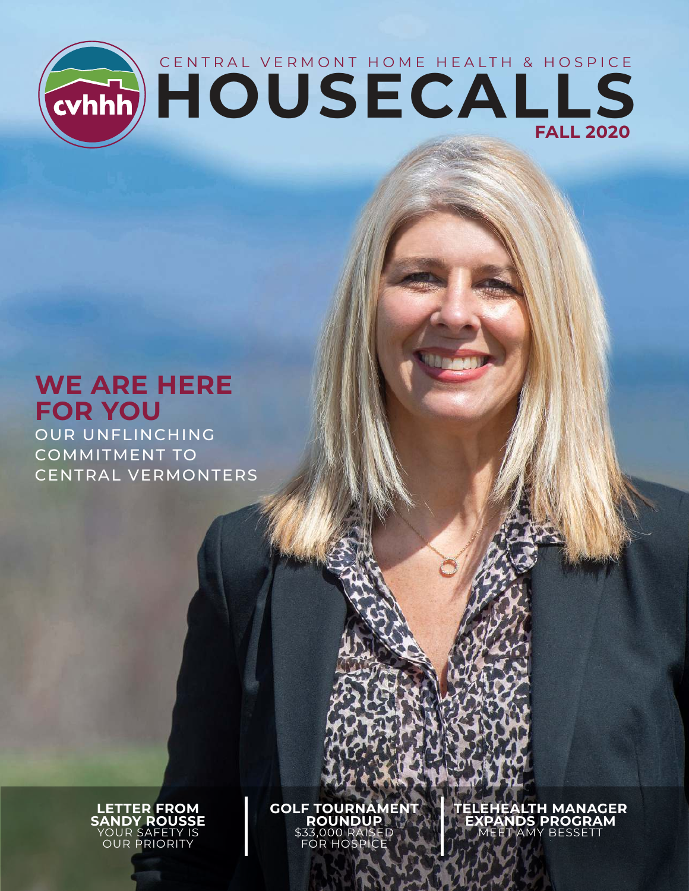

# **WE ARE HERE FOR YOU**

OUR UNFLINCHING COMMITMENT TO CENTRAL VERMONTERS

> **LETTER FROM SANDY ROUSSE** YOUR SAFETY IS OUR PRIORITY

**GOLF TOURNAMENT ROUNDUP**  \$33,000 RAISED FOR HOSPICE

**TELEHEALTH MANAGER EXPANDS PROGRAM** MEET AMY BESSETT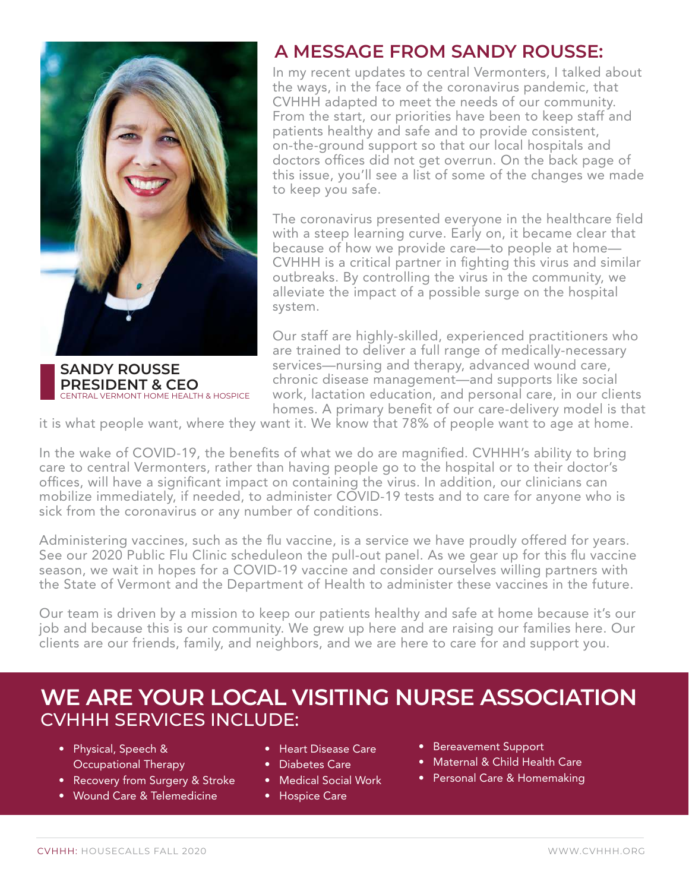

**SANDY ROUSSE PRESIDENT & CEO**  CENTRAL VERMONT HOME HEALTH & HOSPICE

## **A MESSAGE FROM SANDY ROUSSE:**

In my recent updates to central Vermonters, I talked about the ways, in the face of the coronavirus pandemic, that CVHHH adapted to meet the needs of our community. From the start, our priorities have been to keep staff and patients healthy and safe and to provide consistent, on-the-ground support so that our local hospitals and doctors offices did not get overrun. On the back page of this issue, you'll see a list of some of the changes we made to keep you safe.

The coronavirus presented everyone in the healthcare field with a steep learning curve. Early on, it became clear that because of how we provide care—to people at home— CVHHH is a critical partner in fighting this virus and similar outbreaks. By controlling the virus in the community, we alleviate the impact of a possible surge on the hospital system.

Our staff are highly-skilled, experienced practitioners who are trained to deliver a full range of medically-necessary services—nursing and therapy, advanced wound care, chronic disease management—and supports like social work, lactation education, and personal care, in our clients homes. A primary benefit of our care-delivery model is that

it is what people want, where they want it. We know that 78% of people want to age at home.

In the wake of COVID-19, the benefits of what we do are magnified. CVHHH's ability to bring care to central Vermonters, rather than having people go to the hospital or to their doctor's offices, will have a significant impact on containing the virus. In addition, our clinicians can mobilize immediately, if needed, to administer COVID-19 tests and to care for anyone who is sick from the coronavirus or any number of conditions.

Administering vaccines, such as the flu vaccine, is a service we have proudly offered for years. See our 2020 Public Flu Clinic scheduleon the pull-out panel. As we gear up for this flu vaccine season, we wait in hopes for a COVID-19 vaccine and consider ourselves willing partners with the State of Vermont and the Department of Health to administer these vaccines in the future.

Our team is driven by a mission to keep our patients healthy and safe at home because it's our job and because this is our community. We grew up here and are raising our families here. Our clients are our friends, family, and neighbors, and we are here to care for and support you.

## **WE ARE YOUR LOCAL VISITING NURSE ASSOCIATION** CVHHH SERVICES INCLUDE:

- Physical, Speech & Occupational Therapy
- Recovery from Surgery & Stroke
- Wound Care & Telemedicine
- Heart Disease Care
- Diabetes Care
- Medical Social Work
- Hospice Care
- Bereavement Support
- Maternal & Child Health Care
- Personal Care & Homemaking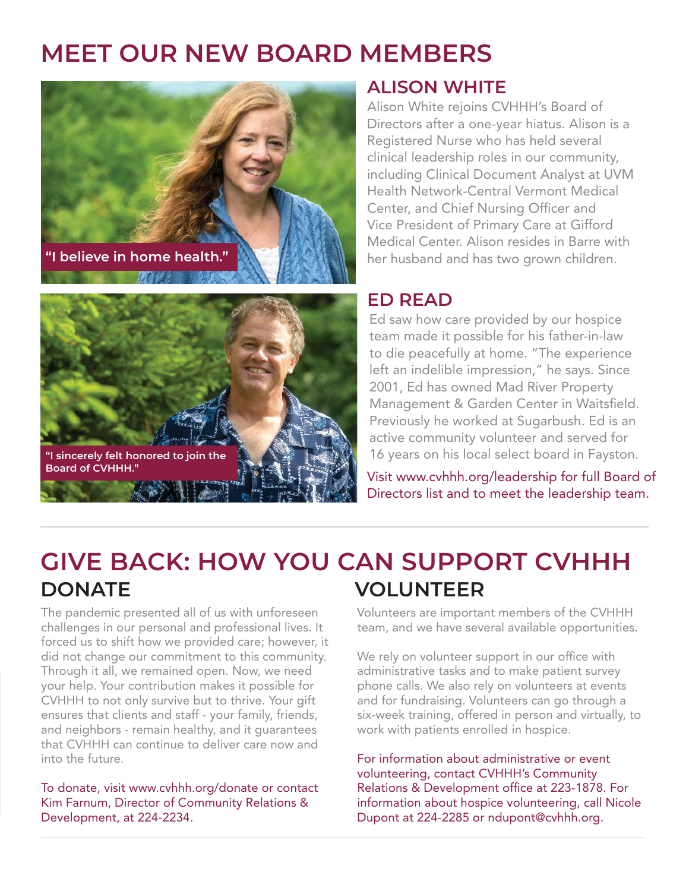# **MEET OUR NEW BOARD MEMBERS**





### **ALISON WHITE**

Alison White rejoins CVHHH's Board of Directors after a one-year hiatus. Alison is a Registered Nurse who has held several clinical leadership roles in our community, including Clinical Document Analyst at UVM Health Network-Central Vermont Medical Center, and Chief Nursing Officer and Vice President of Primary Care at Gifford Medical Center. Alison resides in Barre with her husband and has two grown children.

### **ED READ**

Ed saw how care provided by our hospice team made it possible for his father-in-law to die peacefully at home. "The experience left an indelible impression," he says. Since 2001, Ed has owned Mad River Property Management & Garden Center in Waitsfield. Previously he worked at Sugarbush. Ed is an active community volunteer and served for 16 years on his local select board in Fayston.

Visit www.cvhhh.org/leadership for full Board of Directors list and to meet the leadership team.

# **DONATE VOLUNTEER GIVE BACK: HOW YOU CAN SUPPORT CVHHH**

The pandemic presented all of us with unforeseen challenges in our personal and professional lives. It forced us to shift how we provided care; however, it did not change our commitment to this community. Through it all, we remained open. Now, we need your help. Your contribution makes it possible for CVHHH to not only survive but to thrive. Your gift ensures that clients and staff - your family, friends, and neighbors - remain healthy, and it guarantees that CVHHH can continue to deliver care now and into the future.

To donate, visit www.cvhhh.org/donate or contact Kim Farnum, Director of Community Relations & Development, at 224-2234.

Volunteers are important members of the CVHHH team, and we have several available opportunities.

We rely on volunteer support in our office with administrative tasks and to make patient survey phone calls. We also rely on volunteers at events and for fundraising. Volunteers can go through a six-week training, offered in person and virtually, to work with patients enrolled in hospice.

For information about administrative or event volunteering, contact CVHHH's Community Relations & Development office at 223-1878. For information about hospice volunteering, call Nicole Dupont at 224-2285 or ndupont@cvhhh.org.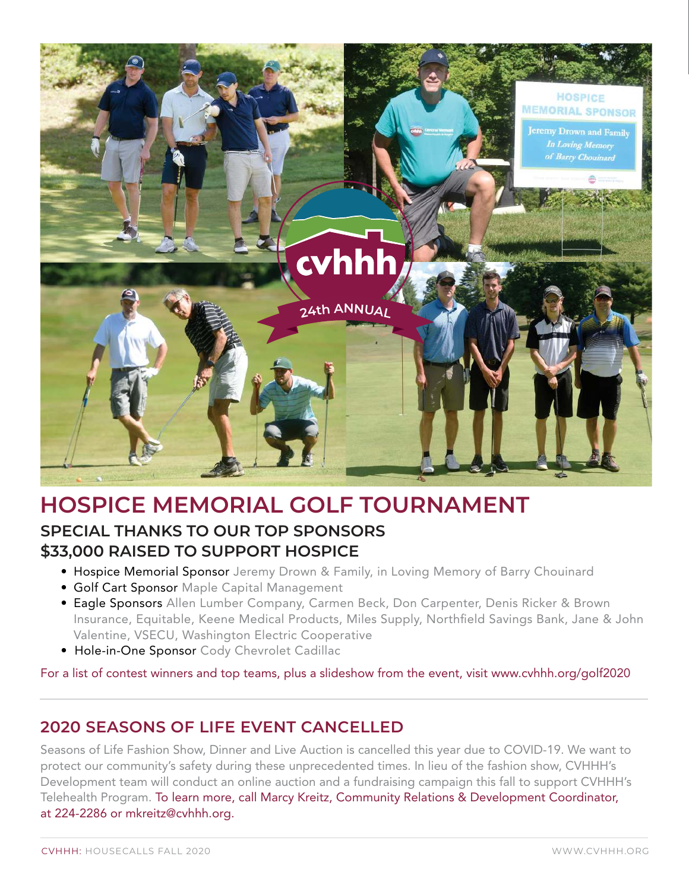

# **HOSPICE MEMORIAL GOLF TOURNAMENT**

### **SPECIAL THANKS TO OUR TOP SPONSORS \$33,000 RAISED TO SUPPORT HOSPICE**

- Hospice Memorial Sponsor Jeremy Drown & Family, in Loving Memory of Barry Chouinard
- Golf Cart Sponsor Maple Capital Management
- Eagle Sponsors Allen Lumber Company, Carmen Beck, Don Carpenter, Denis Ricker & Brown Insurance, Equitable, Keene Medical Products, Miles Supply, Northfield Savings Bank, Jane & John Valentine, VSECU, Washington Electric Cooperative
- Hole-in-One Sponsor Cody Chevrolet Cadillac

For a list of contest winners and top teams, plus a slideshow from the event, visit www.cvhhh.org/golf2020

### **2020 SEASONS OF LIFE EVENT CANCELLED**

Seasons of Life Fashion Show, Dinner and Live Auction is cancelled this year due to COVID-19. We want to protect our community's safety during these unprecedented times. In lieu of the fashion show, CVHHH's Development team will conduct an online auction and a fundraising campaign this fall to support CVHHH's Telehealth Program. To learn more, call Marcy Kreitz, Community Relations & Development Coordinator, at 224-2286 or mkreitz@cvhhh.org.